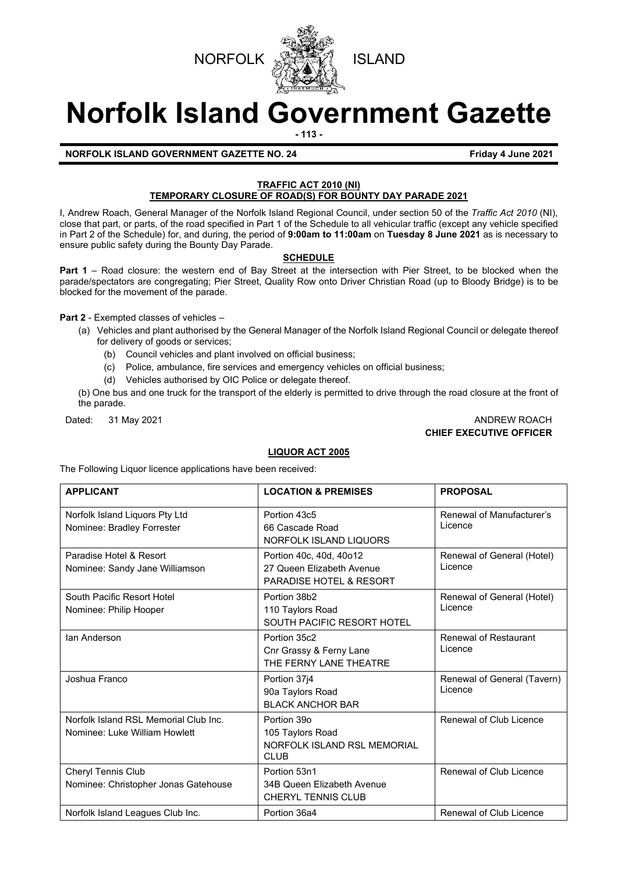



# **Norfolk Island Government Gazette**

**- 113 -**

**NORFOLK ISLAND GOVERNMENT GAZETTE NO. 24 Friday 4 June 2021** 

# **TRAFFIC ACT 2010 (NI) TEMPORARY CLOSURE OF ROAD(S) FOR BOUNTY DAY PARADE 2021**

I, Andrew Roach, General Manager of the Norfolk Island Regional Council, under section 50 of the *Traffic Act 2010* (NI), close that part, or parts, of the road specified in Part 1 of the Schedule to all vehicular traffic (except any vehicle specified in Part 2 of the Schedule) for, and during, the period of **9:00am to 11:00am** on **Tuesday 8 June 2021** as is necessary to ensure public safety during the Bounty Day Parade.

# **SCHEDULE**

**Part 1** – Road closure: the western end of Bay Street at the intersection with Pier Street, to be blocked when the parade/spectators are congregating; Pier Street, Quality Row onto Driver Christian Road (up to Bloody Bridge) is to be blocked for the movement of the parade.

**Part 2** - Exempted classes of vehicles –

- (a) Vehicles and plant authorised by the General Manager of the Norfolk Island Regional Council or delegate thereof for delivery of goods or services;
	- (b) Council vehicles and plant involved on official business;
	- (c) Police, ambulance, fire services and emergency vehicles on official business;
	- (d) Vehicles authorised by OIC Police or delegate thereof.

(b) One bus and one truck for the transport of the elderly is permitted to drive through the road closure at the front of the parade.

# Dated: 31 May 2021 ANDREW ROACH **CHIEF EXECUTIVE OFFICER**

# **LIQUOR ACT 2005**

The Following Liquor licence applications have been received:

| <b>APPLICANT</b>                                                       | <b>LOCATION &amp; PREMISES</b>                                                             | <b>PROPOSAL</b>                         |
|------------------------------------------------------------------------|--------------------------------------------------------------------------------------------|-----------------------------------------|
| Norfolk Island Liquors Pty Ltd<br>Nominee: Bradley Forrester           | Portion 43c5<br>66 Cascade Road<br>NORFOLK ISLAND LIQUORS                                  | Renewal of Manufacturer's<br>Licence    |
| Paradise Hotel & Resort<br>Nominee: Sandy Jane Williamson              | Portion 40c, 40d, 40o12<br>27 Queen Elizabeth Avenue<br><b>PARADISE HOTEL &amp; RESORT</b> | Renewal of General (Hotel)<br>Licence   |
| South Pacific Resort Hotel<br>Nominee: Philip Hooper                   | Portion 38b2<br>110 Taylors Road<br>SOUTH PACIFIC RESORT HOTEL                             | Renewal of General (Hotel)<br>Licence   |
| Ian Anderson                                                           | Portion 35c2<br>Cnr Grassy & Ferny Lane<br>THE FERNY LANE THEATRE                          | <b>Renewal of Restaurant</b><br>Licence |
| Joshua Franco                                                          | Portion 37j4<br>90a Taylors Road<br><b>BLACK ANCHOR BAR</b>                                | Renewal of General (Tavern)<br>Licence  |
| Norfolk Island RSL Memorial Club Inc.<br>Nominee: Luke William Howlett | Portion 39o<br>105 Taylors Road<br>NORFOLK ISLAND RSL MEMORIAL<br><b>CLUB</b>              | Renewal of Club Licence                 |
| Cheryl Tennis Club<br>Nominee: Christopher Jonas Gatehouse             | Portion 53n1<br>34B Queen Elizabeth Avenue<br><b>CHERYL TENNIS CLUB</b>                    | Renewal of Club Licence                 |
| Norfolk Island Leagues Club Inc.                                       | Portion 36a4                                                                               | Renewal of Club Licence                 |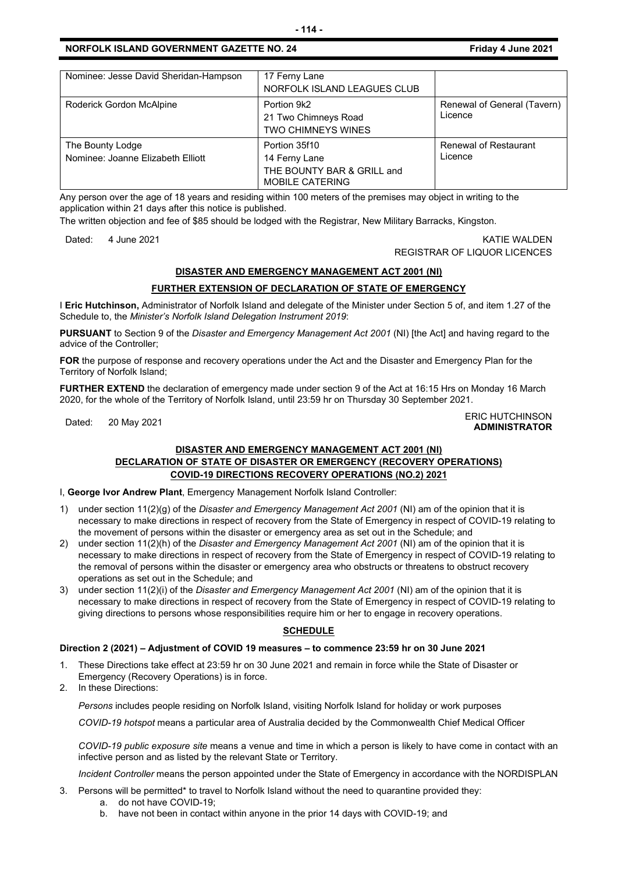# **NORFOLK ISLAND GOVERNMENT GAZETTE NO. 24 Friday 4 June 2021**

| Nominee: Jesse David Sheridan-Hampson                 | 17 Ferny Lane<br>NORFOLK ISLAND LEAGUES CLUB                                           |                                         |
|-------------------------------------------------------|----------------------------------------------------------------------------------------|-----------------------------------------|
| Roderick Gordon McAlpine                              | Portion 9k2<br>21 Two Chimneys Road<br><b>TWO CHIMNEYS WINES</b>                       | Renewal of General (Tavern)<br>Licence  |
| The Bounty Lodge<br>Nominee: Joanne Elizabeth Elliott | Portion 35f10<br>14 Ferny Lane<br>THE BOUNTY BAR & GRILL and<br><b>MOBILE CATERING</b> | <b>Renewal of Restaurant</b><br>Licence |

Any person over the age of 18 years and residing within 100 meters of the premises may object in writing to the application within 21 days after this notice is published.

The written objection and fee of \$85 should be lodged with the Registrar, New Military Barracks, Kingston.

## Dated: 4 June 2021 KATIE WALDEN REGISTRAR OF LIQUOR LICENCES

# **DISASTER AND EMERGENCY MANAGEMENT ACT 2001 (NI)**

# **FURTHER EXTENSION OF DECLARATION OF STATE OF EMERGENCY**

I **Eric Hutchinson,** Administrator of Norfolk Island and delegate of the Minister under Section 5 of, and item 1.27 of the Schedule to, the *Minister's Norfolk Island Delegation Instrument 2019*:

**PURSUANT** to Section 9 of the *Disaster and Emergency Management Act 2001* (NI) [the Act] and having regard to the advice of the Controller;

**FOR** the purpose of response and recovery operations under the Act and the Disaster and Emergency Plan for the Territory of Norfolk Island;

**FURTHER EXTEND** the declaration of emergency made under section 9 of the Act at 16:15 Hrs on Monday 16 March 2020, for the whole of the Territory of Norfolk Island, until 23:59 hr on Thursday 30 September 2021.

#### Dated: 20 May 2021 ERIC HUTCHINSON **ADMINISTRATOR**

# **DISASTER AND EMERGENCY MANAGEMENT ACT 2001 (NI) DECLARATION OF STATE OF DISASTER OR EMERGENCY (RECOVERY OPERATIONS) COVID-19 DIRECTIONS RECOVERY OPERATIONS (NO.2) 2021**

I, **George Ivor Andrew Plant**, Emergency Management Norfolk Island Controller:

- 1) under section 11(2)(g) of the *Disaster and Emergency Management Act 2001* (NI) am of the opinion that it is necessary to make directions in respect of recovery from the State of Emergency in respect of COVID-19 relating to the movement of persons within the disaster or emergency area as set out in the Schedule; and
- 2) under section 11(2)(h) of the *Disaster and Emergency Management Act 2001* (NI) am of the opinion that it is necessary to make directions in respect of recovery from the State of Emergency in respect of COVID-19 relating to the removal of persons within the disaster or emergency area who obstructs or threatens to obstruct recovery operations as set out in the Schedule; and
- 3) under section 11(2)(i) of the *Disaster and Emergency Management Act 2001* (NI) am of the opinion that it is necessary to make directions in respect of recovery from the State of Emergency in respect of COVID-19 relating to giving directions to persons whose responsibilities require him or her to engage in recovery operations.

# **SCHEDULE**

## **Direction 2 (2021) – Adjustment of COVID 19 measures – to commence 23:59 hr on 30 June 2021**

- 1. These Directions take effect at 23:59 hr on 30 June 2021 and remain in force while the State of Disaster or Emergency (Recovery Operations) is in force.
- 2. In these Directions:

*Persons* includes people residing on Norfolk Island, visiting Norfolk Island for holiday or work purposes

*COVID-19 hotspot* means a particular area of Australia decided by the Commonwealth Chief Medical Officer

*COVID-19 public exposure site* means a venue and time in which a person is likely to have come in contact with an infective person and as listed by the relevant State or Territory.

*Incident Controller* means the person appointed under the State of Emergency in accordance with the NORDISPLAN

- 3. Persons will be permitted\* to travel to Norfolk Island without the need to quarantine provided they:
	- a. do not have COVID-19;
	- b. have not been in contact within anyone in the prior 14 days with COVID-19; and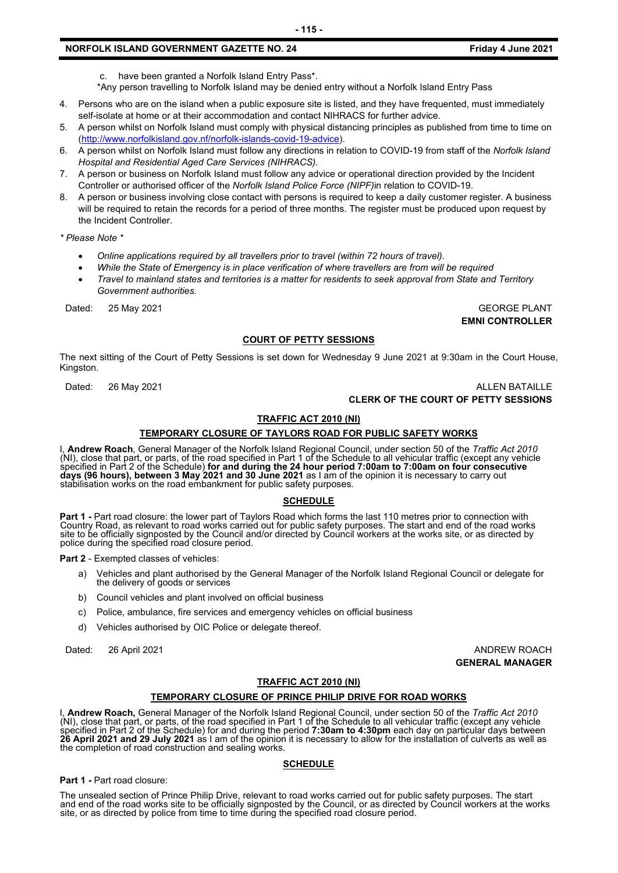# **NORFOLK ISLAND GOVERNMENT GAZETTE NO. 24 Friday 4 June 2021**

c. have been granted a Norfolk Island Entry Pass\*.

\*Any person travelling to Norfolk Island may be denied entry without a Norfolk Island Entry Pass

- 4. Persons who are on the island when a public exposure site is listed, and they have frequented, must immediately self-isolate at home or at their accommodation and contact NIHRACS for further advice.
- 5. A person whilst on Norfolk Island must comply with physical distancing principles as published from time to time on [\(http://www.norfolkisland.gov.nf/norfolk-islands-covid-19-advice\)](http://www.norfolkisland.gov.nf/norfolk-islands-covid-19-advice).
- 6. A person whilst on Norfolk Island must follow any directions in relation to COVID-19 from staff of the *Norfolk Island Hospital and Residential Aged Care Services (NIHRACS).*
- 7. A person or business on Norfolk Island must follow any advice or operational direction provided by the Incident Controller or authorised officer of the *Norfolk Island Police Force (NIPF)*in relation to COVID-19.
- 8. A person or business involving close contact with persons is required to keep a daily customer register. A business will be required to retain the records for a period of three months. The register must be produced upon request by the Incident Controller.

*\* Please Note \** 

- *Online applications required by all travellers prior to travel (within 72 hours of travel).*
- *While the State of Emergency is in place verification of where travellers are from will be required*
- *Travel to mainland states and territories is a matter for residents to seek approval from State and Territory Government authorities.*

Dated: 25 May 2021 GEORGE PLANT

**EMNI CONTROLLER**

#### **COURT OF PETTY SESSIONS**

The next sitting of the Court of Petty Sessions is set down for Wednesday 9 June 2021 at 9:30am in the Court House, Kingston.

## Dated: 26 May 2021 2008 2012 12:30 ALLEN BATAILLE **CLERK OF THE COURT OF PETTY SESSIONS**

# **TRAFFIC ACT 2010 (NI)**

#### **TEMPORARY CLOSURE OF TAYLORS ROAD FOR PUBLIC SAFETY WORKS**

I, **Andrew Roach**, General Manager of the Norfolk Island Regional Council, under section 50 of the *Traffic Act 2010* (NI), close that part, or parts, of the road specified in Part 1 of the Schedule to all vehicular traffic (except any vehicle specified in Part 2 of the Schedule) **for and during the 24 hour period 7:00am to 7:00am on four consecutive days (96 hours), between 3 May 2021 and 30 June 2021** as I am of the opinion it is necessary to carry out<br>stabilisation works on the road embankment for public safety purposes.

#### **SCHEDULE**

Part 1 - Part road closure: the lower part of Taylors Road which forms the last 110 metres prior to connection with<br>Country Road, as relevant to road works carried out for public safety purposes. The start and end of the r police during the specified road closure period.

**Part 2** - Exempted classes of vehicles:

- a) Vehicles and plant authorised by the General Manager of the Norfolk Island Regional Council or delegate for the delivery of goods or services
- b) Council vehicles and plant involved on official business
- c) Police, ambulance, fire services and emergency vehicles on official business
- d) Vehicles authorised by OIC Police or delegate thereof.

Dated: 26 April 2021 **ANDREW ROACH** 

**GENERAL MANAGER**

#### **TRAFFIC ACT 2010 (NI)**

## **TEMPORARY CLOSURE OF PRINCE PHILIP DRIVE FOR ROAD WORKS**

I, **Andrew Roach,** General Manager of the Norfolk Island Regional Council, under section 50 of the *Traffic Act 2010* (NI), close that part, or parts, of the road specified in Part 1 of the Schedule to all vehicular traffic (except any vehicle specified in Part 2 of the Schedule) for and during the period **7:30am to 4:30pm** each day on particular days between **26 April 2021 and 29 July 2021** as I am of the opinion it is necessary to allow for the installation of culverts as well as the completion of road construction and sealing works.

## **SCHEDULE**

**Part 1 -** Part road closure:

The unsealed section of Prince Philip Drive, relevant to road works carried out for public safety purposes. The start<br>and end of the road works site to be officially signposted by the Council, or as directed by Council wor site, or as directed by police from time to time during the specified road closure period.